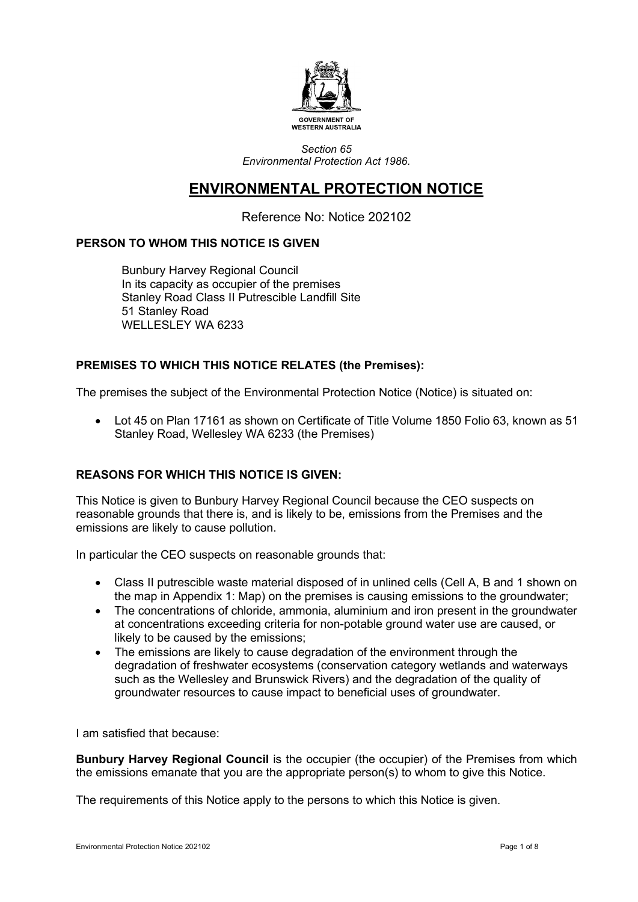

*Section 65 Environmental Protection Act 1986.*

# **ENVIRONMENTAL PROTECTION NOTICE**

Reference No: Notice 202102

# **PERSON TO WHOM THIS NOTICE IS GIVEN**

Bunbury Harvey Regional Council In its capacity as occupier of the premises Stanley Road Class II Putrescible Landfill Site 51 Stanley Road WELLESLEY WA 6233

# **PREMISES TO WHICH THIS NOTICE RELATES (the Premises):**

The premises the subject of the Environmental Protection Notice (Notice) is situated on:

• Lot 45 on Plan 17161 as shown on Certificate of Title Volume 1850 Folio 63, known as 51 Stanley Road, Wellesley WA 6233 (the Premises)

# **REASONS FOR WHICH THIS NOTICE IS GIVEN:**

This Notice is given to Bunbury Harvey Regional Council because the CEO suspects on reasonable grounds that there is, and is likely to be, emissions from the Premises and the emissions are likely to cause pollution.

In particular the CEO suspects on reasonable grounds that:

- Class II putrescible waste material disposed of in unlined cells (Cell A, B and 1 shown on the map in Appendix 1: Map) on the premises is causing emissions to the groundwater;
- The concentrations of chloride, ammonia, aluminium and iron present in the groundwater at concentrations exceeding criteria for non-potable ground water use are caused, or likely to be caused by the emissions;
- The emissions are likely to cause degradation of the environment through the degradation of freshwater ecosystems (conservation category wetlands and waterways such as the Wellesley and Brunswick Rivers) and the degradation of the quality of groundwater resources to cause impact to beneficial uses of groundwater.

I am satisfied that because:

**Bunbury Harvey Regional Council** is the occupier (the occupier) of the Premises from which the emissions emanate that you are the appropriate person(s) to whom to give this Notice.

The requirements of this Notice apply to the persons to which this Notice is given.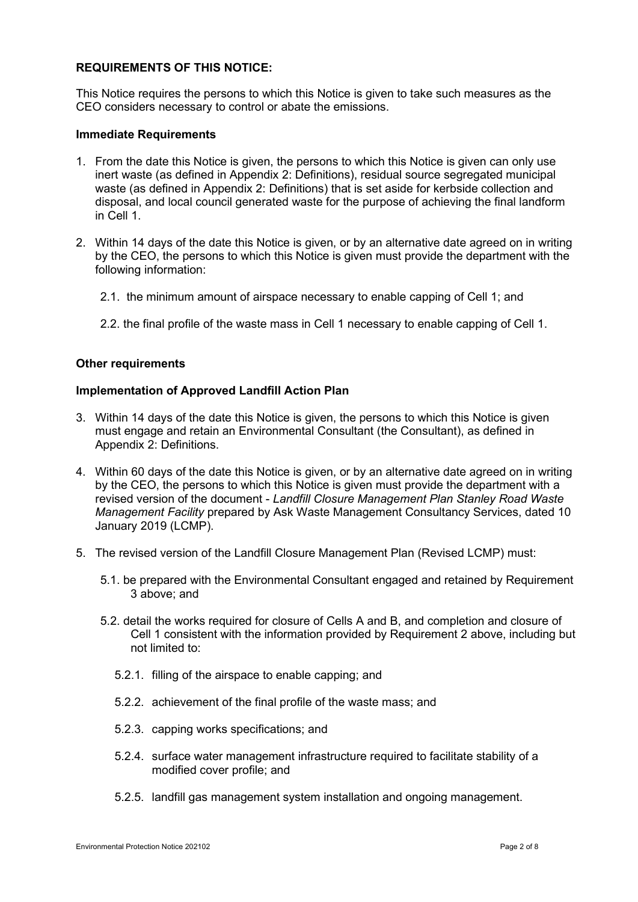#### **REQUIREMENTS OF THIS NOTICE:**

This Notice requires the persons to which this Notice is given to take such measures as the CEO considers necessary to control or abate the emissions.

#### **Immediate Requirements**

- 1. From the date this Notice is given, the persons to which this Notice is given can only use inert waste (as defined in Appendix 2: Definitions), residual source segregated municipal waste (as defined in Appendix 2: Definitions) that is set aside for kerbside collection and disposal, and local council generated waste for the purpose of achieving the final landform in Cell 1.
- 2. Within 14 days of the date this Notice is given, or by an alternative date agreed on in writing by the CEO, the persons to which this Notice is given must provide the department with the following information:
	- 2.1. the minimum amount of airspace necessary to enable capping of Cell 1; and
	- 2.2. the final profile of the waste mass in Cell 1 necessary to enable capping of Cell 1.

#### **Other requirements**

#### **Implementation of Approved Landfill Action Plan**

- 3. Within 14 days of the date this Notice is given, the persons to which this Notice is given must engage and retain an Environmental Consultant (the Consultant), as defined in Appendix 2: Definitions.
- 4. Within 60 days of the date this Notice is given, or by an alternative date agreed on in writing by the CEO, the persons to which this Notice is given must provide the department with a revised version of the document - *Landfill Closure Management Plan Stanley Road Waste Management Facility* prepared by Ask Waste Management Consultancy Services, dated 10 January 2019 (LCMP).
- 5. The revised version of the Landfill Closure Management Plan (Revised LCMP) must:
	- 5.1. be prepared with the Environmental Consultant engaged and retained by Requirement 3 above; and
	- 5.2. detail the works required for closure of Cells A and B, and completion and closure of Cell 1 consistent with the information provided by Requirement 2 above, including but not limited to:
		- 5.2.1. filling of the airspace to enable capping; and
		- 5.2.2. achievement of the final profile of the waste mass; and
		- 5.2.3. capping works specifications; and
		- 5.2.4. surface water management infrastructure required to facilitate stability of a modified cover profile; and
		- 5.2.5. landfill gas management system installation and ongoing management.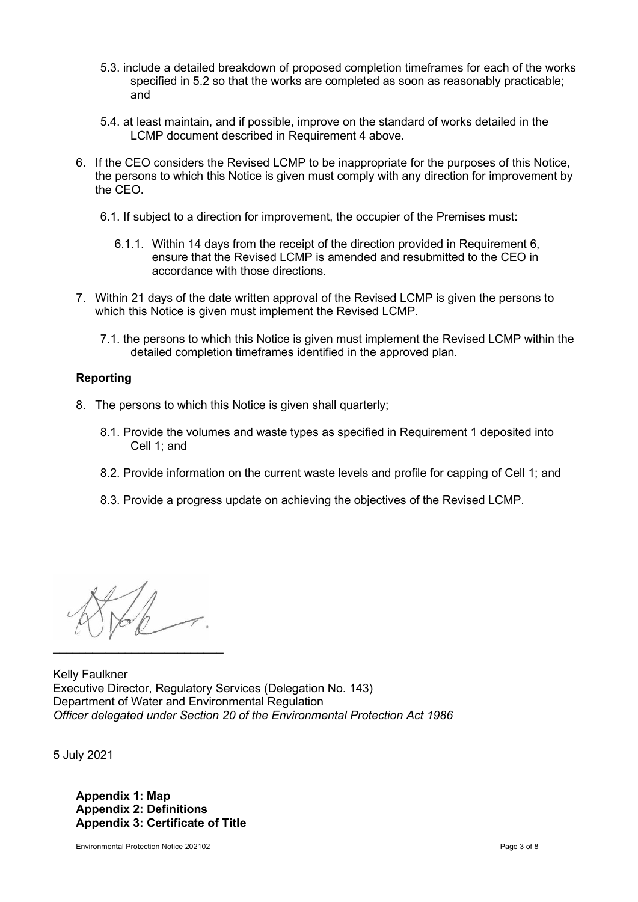- 5.3. include a detailed breakdown of proposed completion timeframes for each of the works specified in 5.2 so that the works are completed as soon as reasonably practicable; and
- 5.4. at least maintain, and if possible, improve on the standard of works detailed in the LCMP document described in Requirement 4 above.
- 6. If the CEO considers the Revised LCMP to be inappropriate for the purposes of this Notice, the persons to which this Notice is given must comply with any direction for improvement by the CEO.
	- 6.1. If subject to a direction for improvement, the occupier of the Premises must:
		- 6.1.1. Within 14 days from the receipt of the direction provided in Requirement 6, ensure that the Revised LCMP is amended and resubmitted to the CEO in accordance with those directions.
- 7. Within 21 days of the date written approval of the Revised LCMP is given the persons to which this Notice is given must implement the Revised LCMP.
	- 7.1. the persons to which this Notice is given must implement the Revised LCMP within the detailed completion timeframes identified in the approved plan.

#### **Reporting**

- 8. The persons to which this Notice is given shall quarterly;
	- 8.1. Provide the volumes and waste types as specified in Requirement 1 deposited into Cell 1; and
	- 8.2. Provide information on the current waste levels and profile for capping of Cell 1; and
	- 8.3. Provide a progress update on achieving the objectives of the Revised LCMP.

 $\mathcal{L}_\text{max}$  , which is a set of the set of the set of the set of the set of the set of the set of the set of the set of the set of the set of the set of the set of the set of the set of the set of the set of the set of

Kelly Faulkner Executive Director, Regulatory Services (Delegation No. 143) Department of Water and Environmental Regulation *Officer delegated under Section 20 of the Environmental Protection Act 1986*

5 July 2021

**Appendix 1: Map Appendix 2: Definitions Appendix 3: Certificate of Title**

Environmental Protection Notice 202102 **Page 3 of 8** Page 3 of 8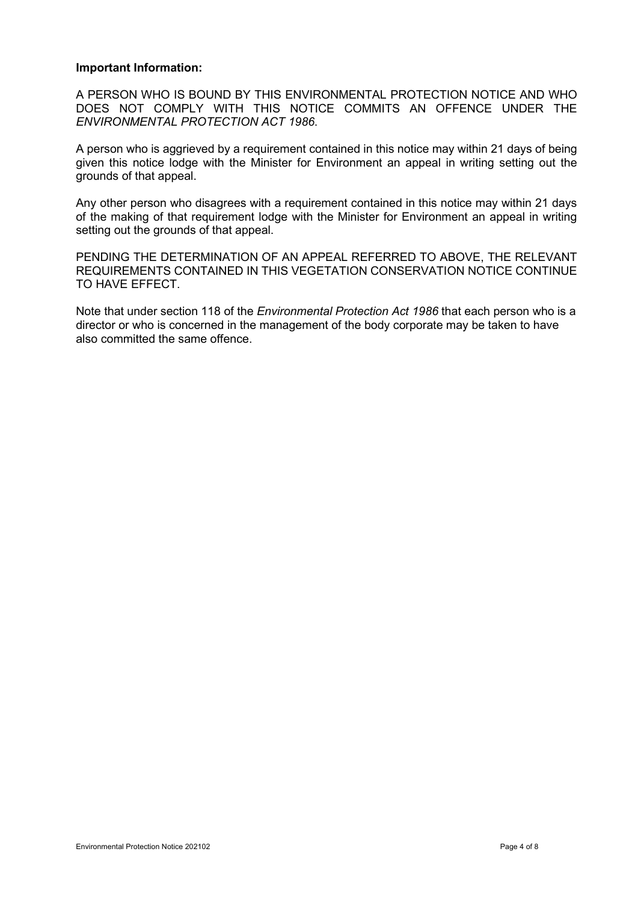#### **Important Information:**

A PERSON WHO IS BOUND BY THIS ENVIRONMENTAL PROTECTION NOTICE AND WHO DOES NOT COMPLY WITH THIS NOTICE COMMITS AN OFFENCE UNDER THE *ENVIRONMENTAL PROTECTION ACT 1986*.

A person who is aggrieved by a requirement contained in this notice may within 21 days of being given this notice lodge with the Minister for Environment an appeal in writing setting out the grounds of that appeal.

Any other person who disagrees with a requirement contained in this notice may within 21 days of the making of that requirement lodge with the Minister for Environment an appeal in writing setting out the grounds of that appeal.

PENDING THE DETERMINATION OF AN APPEAL REFERRED TO ABOVE, THE RELEVANT REQUIREMENTS CONTAINED IN THIS VEGETATION CONSERVATION NOTICE CONTINUE TO HAVE EFFECT.

Note that under section 118 of the *Environmental Protection Act 1986* that each person who is a director or who is concerned in the management of the body corporate may be taken to have also committed the same offence.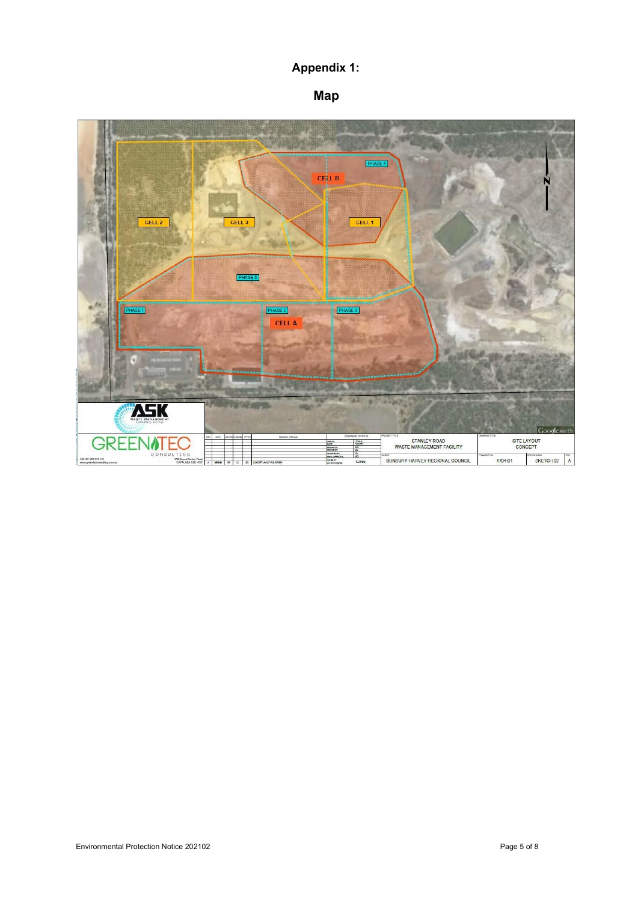# **Appendix 1:**

# **Map**

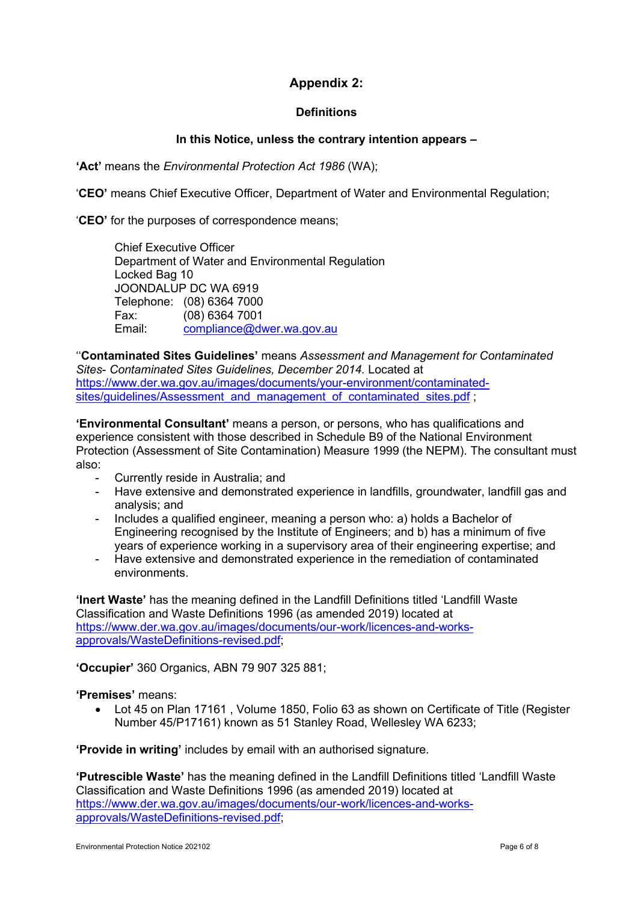# **Appendix 2:**

# **Definitions**

# **In this Notice, unless the contrary intention appears –**

**'Act'** means the *Environmental Protection Act 1986* (WA);

'**CEO'** means Chief Executive Officer, Department of Water and Environmental Regulation;

'**CEO'** for the purposes of correspondence means;

Chief Executive Officer Department of Water and Environmental Regulation Locked Bag 10 JOONDALUP DC WA 6919 Telephone: (08) 6364 7000 Fax: (08) 6364 7001 Email: [compliance@dwer.wa.gov.au](mailto:compliance@dwer.wa.gov.au)

''**Contaminated Sites Guidelines'** means *Assessment and Management for Contaminated Sites*- *Contaminated Sites Guidelines, December 2014.* Located at [https://www.der.wa.gov.au/images/documents/your-environment/contaminated](https://www.der.wa.gov.au/images/documents/your-environment/contaminated-sites/guidelines/Assessment_and_management_of_contaminated_sites.pdf)[sites/guidelines/Assessment\\_and\\_management\\_of\\_contaminated\\_sites.pdf](https://www.der.wa.gov.au/images/documents/your-environment/contaminated-sites/guidelines/Assessment_and_management_of_contaminated_sites.pdf) ;

**'Environmental Consultant'** means a person, or persons, who has qualifications and experience consistent with those described in Schedule B9 of the National Environment Protection (Assessment of Site Contamination) Measure 1999 (the NEPM). The consultant must also:

- Currently reside in Australia; and
- Have extensive and demonstrated experience in landfills, groundwater, landfill gas and analysis; and
- Includes a qualified engineer, meaning a person who: a) holds a Bachelor of Engineering recognised by the Institute of Engineers; and b) has a minimum of five years of experience working in a supervisory area of their engineering expertise; and
- Have extensive and demonstrated experience in the remediation of contaminated environments.

**'Inert Waste'** has the meaning defined in the Landfill Definitions titled 'Landfill Waste Classification and Waste Definitions 1996 (as amended 2019) located at [https://www.der.wa.gov.au/images/documents/our-work/licences-and-works](https://www.der.wa.gov.au/images/documents/our-work/licences-and-works-approvals/WasteDefinitions-revised.pdf)[approvals/WasteDefinitions-revised.pdf;](https://www.der.wa.gov.au/images/documents/our-work/licences-and-works-approvals/WasteDefinitions-revised.pdf)

**'Occupier'** 360 Organics, ABN 79 907 325 881;

**'Premises'** means:

• Lot 45 on Plan 17161 , Volume 1850, Folio 63 as shown on Certificate of Title (Register Number 45/P17161) known as 51 Stanley Road, Wellesley WA 6233;

**'Provide in writing'** includes by email with an authorised signature.

**'Putrescible Waste'** has the meaning defined in the Landfill Definitions titled 'Landfill Waste Classification and Waste Definitions 1996 (as amended 2019) located at [https://www.der.wa.gov.au/images/documents/our-work/licences-and-works](https://www.der.wa.gov.au/images/documents/our-work/licences-and-works-approvals/WasteDefinitions-revised.pdf)[approvals/WasteDefinitions-revised.pdf;](https://www.der.wa.gov.au/images/documents/our-work/licences-and-works-approvals/WasteDefinitions-revised.pdf)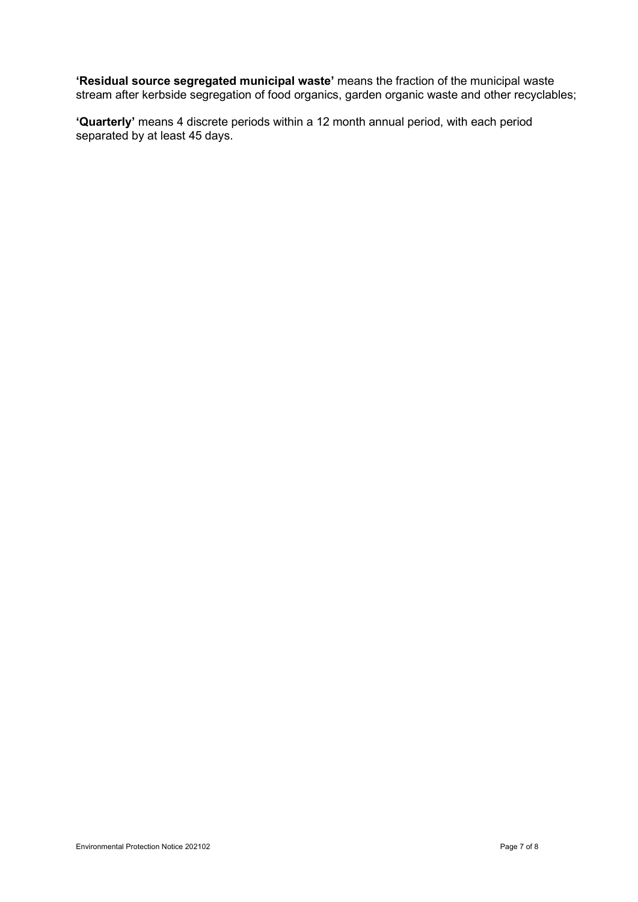**'Residual source segregated municipal waste'** means the fraction of the municipal waste stream after kerbside segregation of food organics, garden organic waste and other recyclables;

**'Quarterly'** means 4 discrete periods within a 12 month annual period, with each period separated by at least 45 days.